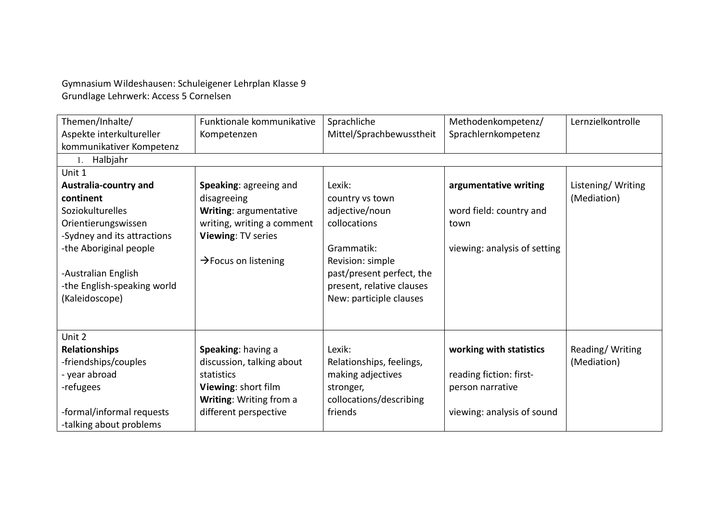Gymnasium Wildeshausen: Schuleigener Lehrplan Klasse 9 Grundlage Lehrwerk: Access 5 Cornelsen

| Themen/Inhalte/              | Funktionale kommunikative        | Sprachliche               | Methodenkompetenz/           | Lernzielkontrolle |  |  |  |
|------------------------------|----------------------------------|---------------------------|------------------------------|-------------------|--|--|--|
| Aspekte interkultureller     | Kompetenzen                      | Mittel/Sprachbewusstheit  | Sprachlernkompetenz          |                   |  |  |  |
| kommunikativer Kompetenz     |                                  |                           |                              |                   |  |  |  |
| 1. Halbjahr                  |                                  |                           |                              |                   |  |  |  |
| Unit 1                       |                                  |                           |                              |                   |  |  |  |
| <b>Australia-country and</b> | Speaking: agreeing and           | Lexik:                    | argumentative writing        | Listening/Writing |  |  |  |
| continent                    | disagreeing                      | country vs town           |                              | (Mediation)       |  |  |  |
| Soziokulturelles             | Writing: argumentative           | adjective/noun            | word field: country and      |                   |  |  |  |
| Orientierungswissen          | writing, writing a comment       | collocations              | town                         |                   |  |  |  |
| -Sydney and its attractions  | Viewing: TV series               |                           |                              |                   |  |  |  |
| -the Aboriginal people       |                                  | Grammatik:                | viewing: analysis of setting |                   |  |  |  |
|                              | $\rightarrow$ Focus on listening | Revision: simple          |                              |                   |  |  |  |
| -Australian English          |                                  | past/present perfect, the |                              |                   |  |  |  |
| -the English-speaking world  |                                  | present, relative clauses |                              |                   |  |  |  |
| (Kaleidoscope)               |                                  | New: participle clauses   |                              |                   |  |  |  |
|                              |                                  |                           |                              |                   |  |  |  |
|                              |                                  |                           |                              |                   |  |  |  |
| Unit 2                       |                                  |                           |                              |                   |  |  |  |
| <b>Relationships</b>         | Speaking: having a               | Lexik:                    | working with statistics      | Reading/Writing   |  |  |  |
| -friendships/couples         | discussion, talking about        | Relationships, feelings,  |                              | (Mediation)       |  |  |  |
| - year abroad                | statistics                       | making adjectives         | reading fiction: first-      |                   |  |  |  |
| -refugees                    | Viewing: short film              | stronger,                 | person narrative             |                   |  |  |  |
|                              | Writing: Writing from a          | collocations/describing   |                              |                   |  |  |  |
| -formal/informal requests    | different perspective            | friends                   | viewing: analysis of sound   |                   |  |  |  |
| -talking about problems      |                                  |                           |                              |                   |  |  |  |